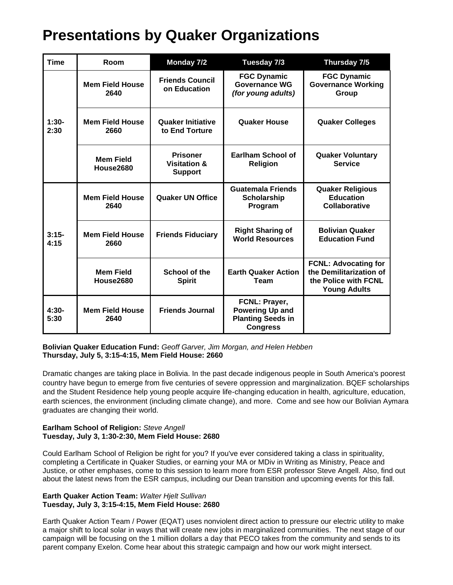| <b>Time</b>     | Room                           | Monday 7/2                                                   | Tuesday 7/3                                                                            | Thursday 7/5                                                                                          |
|-----------------|--------------------------------|--------------------------------------------------------------|----------------------------------------------------------------------------------------|-------------------------------------------------------------------------------------------------------|
| $1:30-$<br>2:30 | <b>Mem Field House</b><br>2640 | <b>Friends Council</b><br>on Education                       | <b>FGC Dynamic</b><br><b>Governance WG</b><br>(for young adults)                       | <b>FGC Dynamic</b><br><b>Governance Working</b><br>Group                                              |
|                 | <b>Mem Field House</b><br>2660 | <b>Quaker Initiative</b><br>to End Torture                   | <b>Quaker House</b>                                                                    | <b>Quaker Colleges</b>                                                                                |
|                 | <b>Mem Field</b><br>House2680  | <b>Prisoner</b><br><b>Visitation &amp;</b><br><b>Support</b> | Earlham School of<br><b>Religion</b>                                                   | <b>Quaker Voluntary</b><br><b>Service</b>                                                             |
| $3:15-$<br>4:15 | <b>Mem Field House</b><br>2640 | <b>Quaker UN Office</b>                                      | <b>Guatemala Friends</b><br><b>Scholarship</b><br>Program                              | <b>Quaker Religious</b><br><b>Education</b><br><b>Collaborative</b>                                   |
|                 | <b>Mem Field House</b><br>2660 | <b>Friends Fiduciary</b>                                     | <b>Right Sharing of</b><br><b>World Resources</b>                                      | <b>Bolivian Quaker</b><br><b>Education Fund</b>                                                       |
|                 | <b>Mem Field</b><br>House2680  | School of the<br><b>Spirit</b>                               | <b>Earth Quaker Action</b><br>Team                                                     | <b>FCNL: Advocating for</b><br>the Demilitarization of<br>the Police with FCNL<br><b>Young Adults</b> |
| $4:30-$<br>5:30 | <b>Mem Field House</b><br>2640 | <b>Friends Journal</b>                                       | FCNL: Prayer,<br><b>Powering Up and</b><br><b>Planting Seeds in</b><br><b>Congress</b> |                                                                                                       |

**Bolivian Quaker Education Fund:** *Geoff Garver, Jim Morgan, and Helen Hebben* **Thursday, July 5, 3:15-4:15, Mem Field House: 2660**

Dramatic changes are taking place in Bolivia. In the past decade indigenous people in South America's poorest country have begun to emerge from five centuries of severe oppression and marginalization. BQEF scholarships and the Student Residence help young people acquire life-changing education in health, agriculture, education, earth sciences, the environment (including climate change), and more. Come and see how our Bolivian Aymara graduates are changing their world.

# **Earlham School of Religion:** *Steve Angell* **Tuesday, July 3, 1:30-2:30, Mem Field House: 2680**

Could Earlham School of Religion be right for you? If you've ever considered taking a class in spirituality, completing a Certificate in Quaker Studies, or earning your MA or MDiv in Writing as Ministry, Peace and Justice, or other emphases, come to this session to learn more from ESR professor Steve Angell. Also, find out about the latest news from the ESR campus, including our Dean transition and upcoming events for this fall.

# **Earth Quaker Action Team:** *Walter Hjelt Sullivan* **Tuesday, July 3, 3:15-4:15, Mem Field House: 2680**

Earth Quaker Action Team / Power (EQAT) uses nonviolent direct action to pressure our electric utility to make a major shift to local solar in ways that will create new jobs in marginalized communities. The next stage of our campaign will be focusing on the 1 million dollars a day that PECO takes from the community and sends to its parent company Exelon. Come hear about this strategic campaign and how our work might intersect.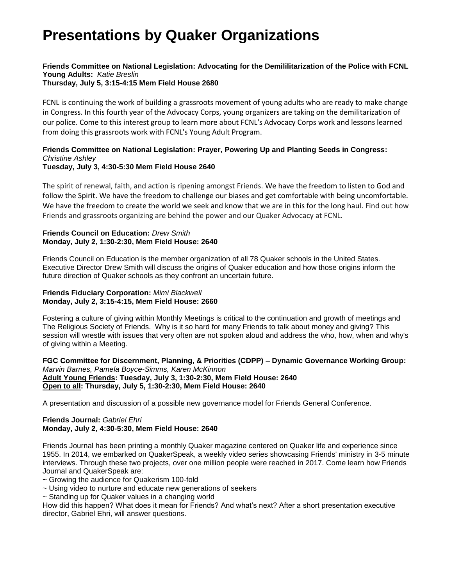#### **Friends Committee on National Legislation: Advocating for the Demililitarization of the Police with FCNL Young Adults:** *Katie Breslin* **Thursday, July 5, 3:15-4:15 Mem Field House 2680**

FCNL is continuing the work of building a grassroots movement of young adults who are ready to make change in Congress. In this fourth year of the Advocacy Corps, young organizers are taking on the demilitarization of our police. Come to this interest group to learn more about FCNL's Advocacy Corps work and lessons learned from doing this grassroots work with FCNL's Young Adult Program.

#### **Friends Committee on National Legislation: Prayer, Powering Up and Planting Seeds in Congress:** *Christine Ashley* **Tuesday, July 3, 4:30-5:30 Mem Field House 2640**

# The spirit of renewal, faith, and action is ripening amongst Friends. We have the freedom to listen to God and follow the Spirit. We have the freedom to challenge our biases and get comfortable with being uncomfortable. We have the freedom to create the world we seek and know that we are in this for the long haul. Find out how

Friends and grassroots organizing are behind the power and our Quaker Advocacy at FCNL.

# **Friends Council on Education:** *Drew Smith* **Monday, July 2, 1:30-2:30, Mem Field House: 2640**

Friends Council on Education is the member organization of all 78 Quaker schools in the United States. Executive Director Drew Smith will discuss the origins of Quaker education and how those origins inform the future direction of Quaker schools as they confront an uncertain future.

## **Friends Fiduciary Corporation:** *Mimi Blackwell* **Monday, July 2, 3:15-4:15, Mem Field House: 2660**

Fostering a culture of giving within Monthly Meetings is critical to the continuation and growth of meetings and The Religious Society of Friends. Why is it so hard for many Friends to talk about money and giving? This session will wrestle with issues that very often are not spoken aloud and address the who, how, when and why's of giving within a Meeting.

#### **FGC Committee for Discernment, Planning, & Priorities (CDPP) – Dynamic Governance Working Group:** *Marvin Barnes, Pamela Boyce-Simms, Karen McKinnon* **Adult Young Friends: Tuesday, July 3, 1:30-2:30, Mem Field House: 2640 Open to all: Thursday, July 5, 1:30-2:30, Mem Field House: 2640**

A presentation and discussion of a possible new governance model for Friends General Conference.

## **Friends Journal:** *Gabriel Ehri* **Monday, July 2, 4:30-5:30, Mem Field House: 2640**

Friends Journal has been printing a monthly Quaker magazine centered on Quaker life and experience since 1955. In 2014, we embarked on QuakerSpeak, a weekly video series showcasing Friends' ministry in 3-5 minute interviews. Through these two projects, over one million people were reached in 2017. Come learn how Friends Journal and QuakerSpeak are:

~ Growing the audience for Quakerism 100-fold

- ~ Using video to nurture and educate new generations of seekers
- ~ Standing up for Quaker values in a changing world

How did this happen? What does it mean for Friends? And what's next? After a short presentation executive director, Gabriel Ehri, will answer questions.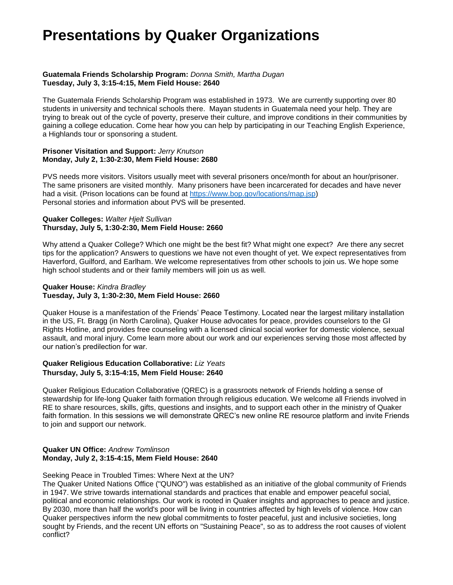#### **Guatemala Friends Scholarship Program:** *Donna Smith, Martha Dugan* **Tuesday, July 3, 3:15-4:15, Mem Field House: 2640**

The Guatemala Friends Scholarship Program was established in 1973. We are currently supporting over 80 students in university and technical schools there. Mayan students in Guatemala need your help. They are trying to break out of the cycle of poverty, preserve their culture, and improve conditions in their communities by gaining a college education. Come hear how you can help by participating in our Teaching English Experience, a Highlands tour or sponsoring a student.

#### **Prisoner Visitation and Support:** *Jerry Knutson* **Monday, July 2, 1:30-2:30, Mem Field House: 2680**

PVS needs more visitors. Visitors usually meet with several prisoners once/month for about an hour/prisoner. The same prisoners are visited monthly. Many prisoners have been incarcerated for decades and have never had a visit. (Prison locations can be found at [https://www.bop.gov/locations/map.jsp\)](https://www.bop.gov/locations/map.jsp) Personal stories and information about PVS will be presented.

#### **Quaker Colleges:** *Walter Hjelt Sullivan* **Thursday, July 5, 1:30-2:30, Mem Field House: 2660**

Why attend a Quaker College? Which one might be the best fit? What might one expect? Are there any secret tips for the application? Answers to questions we have not even thought of yet. We expect representatives from Haverford, Guilford, and Earlham. We welcome representatives from other schools to join us. We hope some high school students and or their family members will join us as well.

#### **Quaker House:** *Kindra Bradley* **Tuesday, July 3, 1:30-2:30, Mem Field House: 2660**

Quaker House is a manifestation of the Friends' Peace Testimony. Located near the largest military installation in the US, Ft. Bragg (in North Carolina), Quaker House advocates for peace, provides counselors to the GI Rights Hotline, and provides free counseling with a licensed clinical social worker for domestic violence, sexual assault, and moral injury. Come learn more about our work and our experiences serving those most affected by our nation's predilection for war.

#### **Quaker Religious Education Collaborative:** *Liz Yeats* **Thursday, July 5, 3:15-4:15, Mem Field House: 2640**

Quaker Religious Education Collaborative (QREC) is a grassroots network of Friends holding a sense of stewardship for life-long Quaker faith formation through religious education. We welcome all Friends involved in RE to share resources, skills, gifts, questions and insights, and to support each other in the ministry of Quaker faith formation. In this sessions we will demonstrate QREC's new online RE resource platform and invite Friends to join and support our network.

#### **Quaker UN Office:** *Andrew Tomlinson* **Monday, July 2, 3:15-4:15, Mem Field House: 2640**

#### Seeking Peace in Troubled Times: Where Next at the UN?

The Quaker United Nations Office ("QUNO") was established as an initiative of the global community of Friends in 1947. We strive towards international standards and practices that enable and empower peaceful social, political and economic relationships. Our work is rooted in Quaker insights and approaches to peace and justice. By 2030, more than half the world's poor will be living in countries affected by high levels of violence. How can Quaker perspectives inform the new global commitments to foster peaceful, just and inclusive societies, long sought by Friends, and the recent UN efforts on "Sustaining Peace", so as to address the root causes of violent conflict?